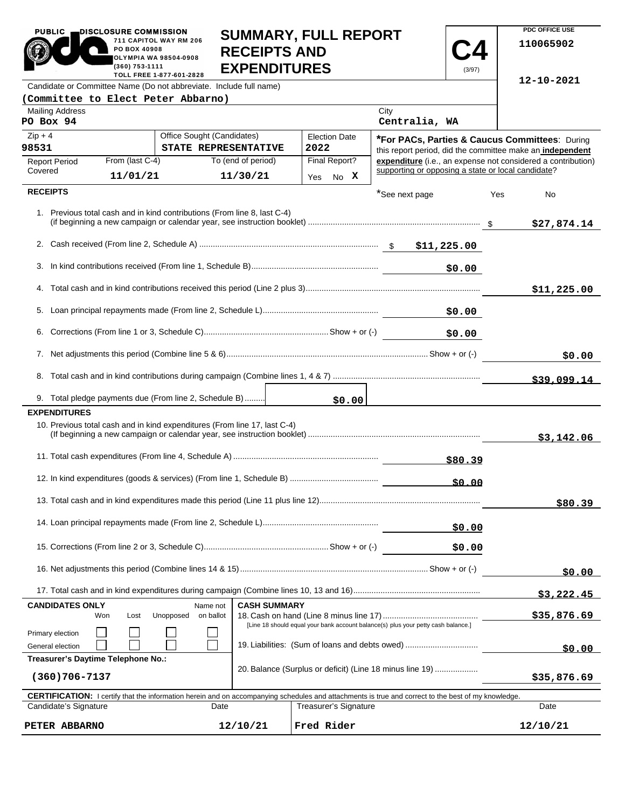| <b>PUBLIC</b><br>DISCLOSURE COMMISSION                                                                                                              | PO BOX 40908<br>(360) 753-1111                                                                                                      | 711 CAPITOL WAY RM 206<br><b>OLYMPIA WA 98504-0908</b> | <b>SUMMARY, FULL REPORT</b><br><b>RECEIPTS AND</b><br><b>EXPENDITURES</b> |  |      |                              |             |                                                    | (3/97)   |     | PDC OFFICE USE<br>110065902                                                                                 |
|-----------------------------------------------------------------------------------------------------------------------------------------------------|-------------------------------------------------------------------------------------------------------------------------------------|--------------------------------------------------------|---------------------------------------------------------------------------|--|------|------------------------------|-------------|----------------------------------------------------|----------|-----|-------------------------------------------------------------------------------------------------------------|
| TOLL FREE 1-877-601-2828<br>Candidate or Committee Name (Do not abbreviate. Include full name)                                                      |                                                                                                                                     |                                                        |                                                                           |  |      |                              |             | 12-10-2021                                         |          |     |                                                                                                             |
| (Committee to Elect Peter Abbarno)                                                                                                                  |                                                                                                                                     |                                                        |                                                                           |  |      |                              |             |                                                    |          |     |                                                                                                             |
| <b>Mailing Address</b><br>PO Box 94                                                                                                                 |                                                                                                                                     |                                                        |                                                                           |  |      |                              |             | City<br>Centralia, WA                              |          |     |                                                                                                             |
| $Zip + 4$<br>98531                                                                                                                                  |                                                                                                                                     | Office Sought (Candidates)                             | STATE REPRESENTATIVE                                                      |  | 2022 | <b>Election Date</b>         |             |                                                    |          |     | *For PACs, Parties & Caucus Committees: During<br>this report period, did the committee make an independent |
| <b>Report Period</b>                                                                                                                                | From (last C-4)                                                                                                                     |                                                        | To (end of period)                                                        |  |      | Final Report?                |             |                                                    |          |     | expenditure (i.e., an expense not considered a contribution)                                                |
| Covered                                                                                                                                             | 11/01/21                                                                                                                            |                                                        | 11/30/21                                                                  |  |      | Yes No X                     |             | supporting or opposing a state or local candidate? |          |     |                                                                                                             |
| <b>RECEIPTS</b>                                                                                                                                     |                                                                                                                                     |                                                        |                                                                           |  |      |                              |             | *See next page                                     |          | Yes | No                                                                                                          |
| 1. Previous total cash and in kind contributions (From line 8, last C-4)                                                                            |                                                                                                                                     |                                                        |                                                                           |  |      |                              |             |                                                    |          |     | \$27,874.14                                                                                                 |
|                                                                                                                                                     |                                                                                                                                     |                                                        |                                                                           |  |      |                              |             |                                                    |          |     |                                                                                                             |
|                                                                                                                                                     |                                                                                                                                     |                                                        |                                                                           |  |      |                              |             |                                                    | \$0.00   |     |                                                                                                             |
|                                                                                                                                                     |                                                                                                                                     |                                                        |                                                                           |  |      |                              |             |                                                    |          |     | \$11,225.00                                                                                                 |
|                                                                                                                                                     |                                                                                                                                     |                                                        |                                                                           |  |      |                              |             |                                                    | \$0.00   |     |                                                                                                             |
|                                                                                                                                                     |                                                                                                                                     |                                                        |                                                                           |  |      |                              |             | \$0.00                                             |          |     |                                                                                                             |
|                                                                                                                                                     |                                                                                                                                     |                                                        |                                                                           |  |      |                              | \$0.00      |                                                    |          |     |                                                                                                             |
|                                                                                                                                                     |                                                                                                                                     |                                                        |                                                                           |  |      |                              |             |                                                    |          |     | \$39,099.14                                                                                                 |
| 9. Total pledge payments due (From line 2, Schedule B)                                                                                              |                                                                                                                                     |                                                        |                                                                           |  |      | \$0.00                       |             |                                                    |          |     |                                                                                                             |
| <b>EXPENDITURES</b>                                                                                                                                 |                                                                                                                                     |                                                        |                                                                           |  |      |                              |             |                                                    |          |     |                                                                                                             |
| 10. Previous total cash and in kind expenditures (From line 17, last C-4)                                                                           |                                                                                                                                     |                                                        |                                                                           |  |      |                              |             |                                                    |          |     | \$3,142.06                                                                                                  |
|                                                                                                                                                     |                                                                                                                                     |                                                        |                                                                           |  |      |                              |             |                                                    |          |     |                                                                                                             |
|                                                                                                                                                     |                                                                                                                                     |                                                        |                                                                           |  |      |                              |             |                                                    | \$0.00   |     |                                                                                                             |
|                                                                                                                                                     |                                                                                                                                     |                                                        |                                                                           |  |      |                              |             |                                                    |          |     | \$80.39                                                                                                     |
| \$0.00                                                                                                                                              |                                                                                                                                     |                                                        |                                                                           |  |      |                              |             |                                                    |          |     |                                                                                                             |
|                                                                                                                                                     |                                                                                                                                     |                                                        |                                                                           |  |      |                              |             |                                                    | \$0.00   |     |                                                                                                             |
|                                                                                                                                                     |                                                                                                                                     |                                                        |                                                                           |  |      |                              | \$0.00      |                                                    |          |     |                                                                                                             |
|                                                                                                                                                     |                                                                                                                                     |                                                        |                                                                           |  |      |                              | \$3,222.45  |                                                    |          |     |                                                                                                             |
| <b>CASH SUMMARY</b><br><b>CANDIDATES ONLY</b><br>Name not<br>Unopposed<br>on ballot<br>Won<br>Lost                                                  |                                                                                                                                     |                                                        |                                                                           |  |      |                              | \$35,876.69 |                                                    |          |     |                                                                                                             |
| Primary election<br>General election                                                                                                                | [Line 18 should equal your bank account balance(s) plus your petty cash balance.]<br>19. Liabilities: (Sum of loans and debts owed) |                                                        |                                                                           |  |      |                              | \$0.00      |                                                    |          |     |                                                                                                             |
| Treasurer's Daytime Telephone No.:<br>20. Balance (Surplus or deficit) (Line 18 minus line 19)<br>$(360)706 - 7137$                                 |                                                                                                                                     |                                                        |                                                                           |  |      |                              | \$35,876.69 |                                                    |          |     |                                                                                                             |
| CERTIFICATION: I certify that the information herein and on accompanying schedules and attachments is true and correct to the best of my knowledge. |                                                                                                                                     |                                                        |                                                                           |  |      |                              |             |                                                    |          |     |                                                                                                             |
| Candidate's Signature                                                                                                                               |                                                                                                                                     |                                                        | Date                                                                      |  |      | <b>Treasurer's Signature</b> |             |                                                    |          |     | Date                                                                                                        |
| 12/10/21<br>Fred Rider<br>PETER ABBARNO                                                                                                             |                                                                                                                                     |                                                        |                                                                           |  |      |                              |             |                                                    | 12/10/21 |     |                                                                                                             |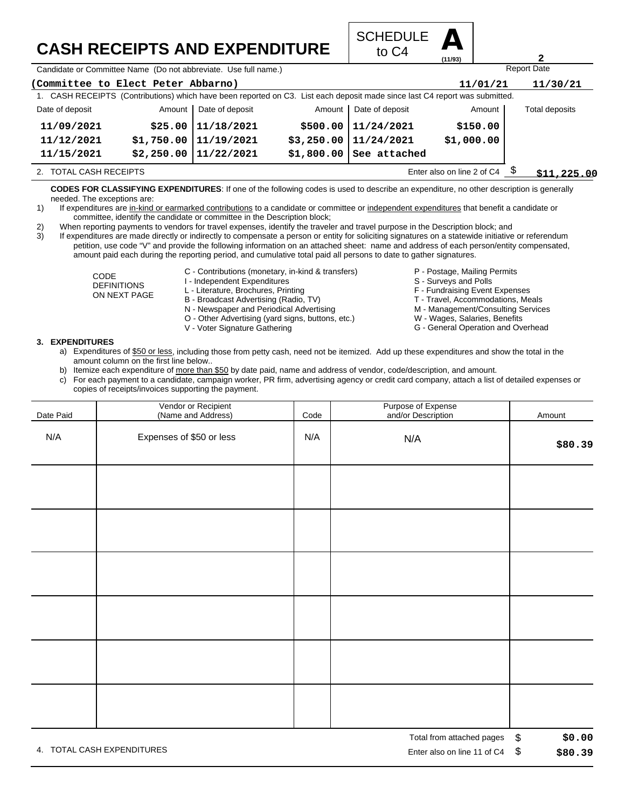## **CASH RECEIPTS AND EXPENDITURE**



Candidate or Committee Name (Do not abbreviate. Use full name.)

| (Committee to Elect Peter Abbarno)<br>11/01/21                                                                              |             |                            |  |                          |            | 11/30/21       |  |  |
|-----------------------------------------------------------------------------------------------------------------------------|-------------|----------------------------|--|--------------------------|------------|----------------|--|--|
| 1. CASH RECEIPTS (Contributions) which have been reported on C3. List each deposit made since last C4 report was submitted. |             |                            |  |                          |            |                |  |  |
| Date of deposit                                                                                                             |             | Amount   Date of deposit   |  | Amount   Date of deposit | Amount     | Total deposits |  |  |
| 11/09/2021                                                                                                                  |             | $$25.00$   11/18/2021      |  | \$500.00   11/24/2021    | \$150.00   |                |  |  |
| 11/12/2021                                                                                                                  |             | $$1,750.00$   $11/19/2021$ |  | $$3,250.00$   11/24/2021 | \$1,000.00 |                |  |  |
| 11/15/2021                                                                                                                  |             | $$2,250.00$   11/22/2021   |  | $$1,800.00$ See attached |            |                |  |  |
| 2. TOTAL CASH RECEIPTS                                                                                                      | \$11,225.00 |                            |  |                          |            |                |  |  |

**CODES FOR CLASSIFYING EXPENDITURES**: If one of the following codes is used to describe an expenditure, no other description is generally needed. The exceptions are:

- 1) If expenditures are in-kind or earmarked contributions to a candidate or committee or independent expenditures that benefit a candidate or committee, identify the candidate or committee in the Description block;
- 2) When reporting payments to vendors for travel expenses, identify the traveler and travel purpose in the Description block; and

3) If expenditures are made directly or indirectly to compensate a person or entity for soliciting signatures on a statewide initiative or referendum petition, use code "V" and provide the following information on an attached sheet: name and address of each person/entity compensated, amount paid each during the reporting period, and cumulative total paid all persons to date to gather signatures.

- CODE DEFINITIONS ON NEXT PAGE
- C Contributions (monetary, in-kind & transfers)
- I Independent Expenditures
- L Literature, Brochures, Printing
- B Broadcast Advertising (Radio, TV)
- N Newspaper and Periodical Advertising
- O Other Advertising (yard signs, buttons, etc.)
- V Voter Signature Gathering
- P Postage, Mailing Permits
	- S Surveys and Polls
	-
	- F Fundraising Event Expenses
	- T Travel, Accommodations, Meals

Report Date

**2**

- M Management/Consulting Services W - Wages, Salaries, Benefits
- G General Operation and Overhead

- **3. EXPENDITURES**
	- a) Expenditures of \$50 or less, including those from petty cash, need not be itemized. Add up these expenditures and show the total in the amount column on the first line below..
	- b) Itemize each expenditure of more than \$50 by date paid, name and address of vendor, code/description, and amount.
	- c) For each payment to a candidate, campaign worker, PR firm, advertising agency or credit card company, attach a list of detailed expenses or copies of receipts/invoices supporting the payment.

| Date Paid | Vendor or Recipient<br>(Name and Address) | Code | Purpose of Expense<br>and/or Description | Amount                   |
|-----------|-------------------------------------------|------|------------------------------------------|--------------------------|
| N/A       | Expenses of \$50 or less                  | N/A  | N/A                                      | \$80.39                  |
|           |                                           |      |                                          |                          |
|           |                                           |      |                                          |                          |
|           |                                           |      |                                          |                          |
|           |                                           |      |                                          |                          |
|           |                                           |      |                                          |                          |
|           |                                           |      |                                          |                          |
|           |                                           |      | Total from attached pages                | $\mathfrak{L}$<br>\$0.00 |

4. TOTAL CASH EXPENDITURES **EXAMPLE 2008** 2012 12:00 THE RISP ON LINE 2012 12:00 THE RISP ON LINE 11 Of C4 \$